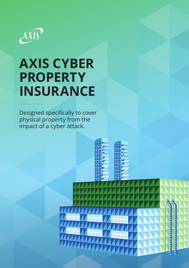

# **AXIS CYBER PROPERTY INSURANCE**

Designed specifically to cover physical property from the impact of a cyber attack.

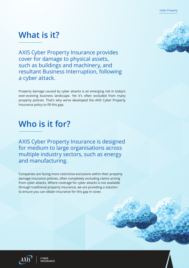## **What is it?**

AXIS Cyber Property Insurance provides cover for damage to physical assets, such as buildings and machinery, and resultant Business Interruption, following a cyber attack.

Property damage caused by cyber attacks is an emerging risk in today's ever-evolving business landscape. Yet it's often excluded from many property policies. That's why we've developed the AXIS Cyber Property Insurance policy to fill this gap.

### **Who is it for?**

AXIS Cyber Property Insurance is designed for medium to large organisations across multiple industry sectors, such as energy and manufacturing.

Companies are facing more restrictive exclusions within their property damage insurance policies, often completely excluding claims arising from cyber attacks. Where coverage for cyber attacks is not available through traditional property insurance, we are providing a solution to ensure you can obtain insurance for this gap in cover.